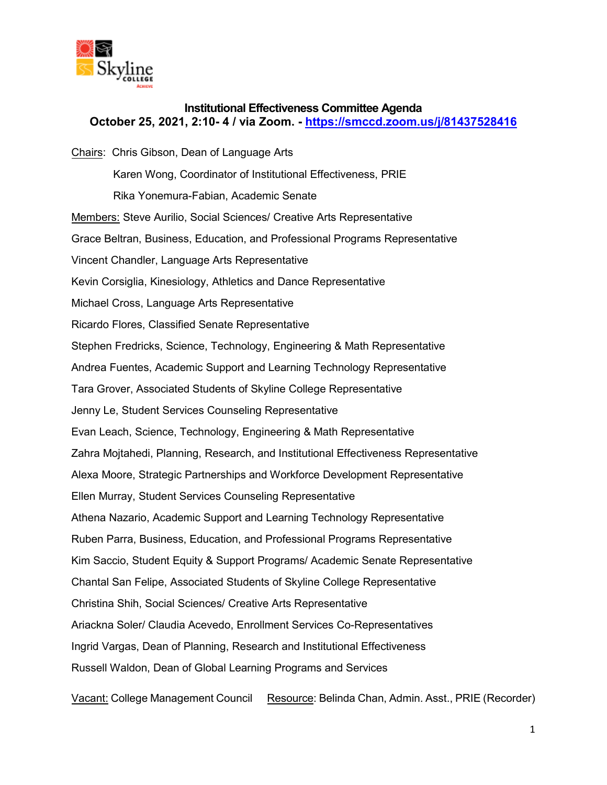

### **Institutional Effectiveness Committee Agenda October 25, 2021, 2:10- 4 / via Zoom. -<https://smccd.zoom.us/j/81437528416>**

Chairs: Chris Gibson, Dean of Language Arts Karen Wong, Coordinator of Institutional Effectiveness, PRIE Rika Yonemura-Fabian, Academic Senate Members: Steve Aurilio, Social Sciences/ Creative Arts Representative Grace Beltran, Business, Education, and Professional Programs Representative Vincent Chandler, Language Arts Representative Kevin Corsiglia, Kinesiology, Athletics and Dance Representative Michael Cross, Language Arts Representative Ricardo Flores, Classified Senate Representative Stephen Fredricks, Science, Technology, Engineering & Math Representative Andrea Fuentes, Academic Support and Learning Technology Representative Tara Grover, Associated Students of Skyline College Representative Jenny Le, Student Services Counseling Representative Evan Leach, Science, Technology, Engineering & Math Representative Zahra Mojtahedi, Planning, Research, and Institutional Effectiveness Representative Alexa Moore, Strategic Partnerships and Workforce Development Representative Ellen Murray, Student Services Counseling Representative Athena Nazario, Academic Support and Learning Technology Representative Ruben Parra, Business, Education, and Professional Programs Representative Kim Saccio, Student Equity & Support Programs/ Academic Senate Representative Chantal San Felipe, Associated Students of Skyline College Representative Christina Shih, Social Sciences/ Creative Arts Representative Ariackna Soler/ Claudia Acevedo, Enrollment Services Co-Representatives Ingrid Vargas, Dean of Planning, Research and Institutional Effectiveness Russell Waldon, Dean of Global Learning Programs and Services

Vacant: College Management Council Resource: Belinda Chan, Admin. Asst., PRIE (Recorder)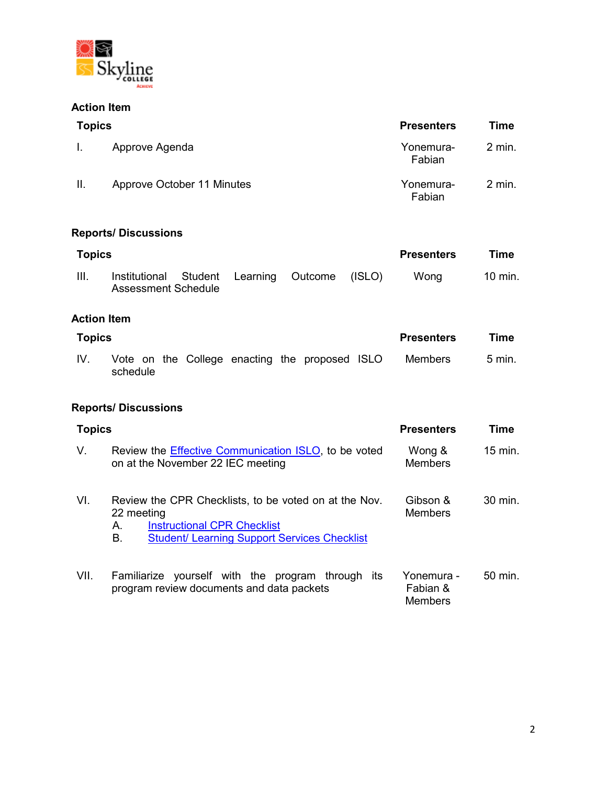

### **Action Item**

| <b>Topics</b> |                                                        |          |         |        | <b>Presenters</b>   | Time        |
|---------------|--------------------------------------------------------|----------|---------|--------|---------------------|-------------|
| ı.            | Approve Agenda                                         |          |         |        | Yonemura-<br>Fabian | $2$ min.    |
| Ш.            | Approve October 11 Minutes                             |          |         |        | Yonemura-<br>Fabian | $2$ min.    |
|               | <b>Reports/Discussions</b>                             |          |         |        |                     |             |
| <b>Topics</b> |                                                        |          |         |        | <b>Presenters</b>   | <b>Time</b> |
| III.          | Institutional<br><b>Student</b><br>Assessment Schedule | Learning | Outcome | (ISLO) | Wong                | 10 min.     |

# **Action Item**

| Topics |          |  |  |  | <b>Presenters</b> | Time                                           |  |         |                   |
|--------|----------|--|--|--|-------------------|------------------------------------------------|--|---------|-------------------|
| IV.    | schedule |  |  |  |                   | Vote on the College enacting the proposed ISLO |  | Members | $5 \text{ min}$ . |

# **Reports/ Discussions**

| <b>Topics</b> |                                                                                                                                                                              | <b>Presenters</b>                        | Time               |
|---------------|------------------------------------------------------------------------------------------------------------------------------------------------------------------------------|------------------------------------------|--------------------|
| V.            | Review the <i>Effective Communication ISLO</i> , to be voted<br>on at the November 22 IEC meeting                                                                            | Wong &<br><b>Members</b>                 | $15$ min.          |
| VI.           | Review the CPR Checklists, to be voted on at the Nov.<br>22 meeting<br><b>Instructional CPR Checklist</b><br>Α.<br><b>Student/ Learning Support Services Checklist</b><br>В. | Gibson &<br><b>Members</b>               | $30 \text{ min}$ . |
| VII.          | Familiarize yourself with the program through its<br>program review documents and data packets                                                                               | Yonemura -<br>Fabian &<br><b>Members</b> | $50 \text{ min}$ . |